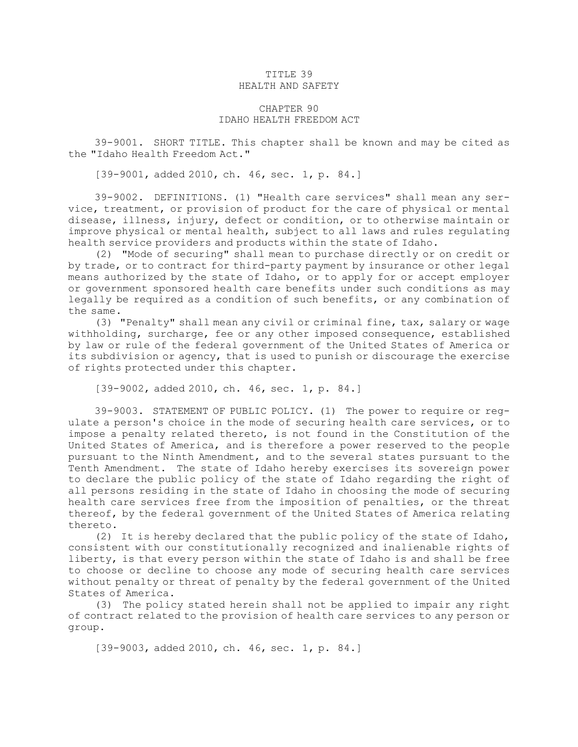## TITLE 39 HEALTH AND SAFETY

## CHAPTER 90 IDAHO HEALTH FREEDOM ACT

39-9001. SHORT TITLE. This chapter shall be known and may be cited as the "Idaho Health Freedom Act."

[39-9001, added 2010, ch. 46, sec. 1, p. 84.]

39-9002. DEFINITIONS. (1) "Health care services" shall mean any service, treatment, or provision of product for the care of physical or mental disease, illness, injury, defect or condition, or to otherwise maintain or improve physical or mental health, subject to all laws and rules regulating health service providers and products within the state of Idaho.

(2) "Mode of securing" shall mean to purchase directly or on credit or by trade, or to contract for third-party payment by insurance or other legal means authorized by the state of Idaho, or to apply for or accept employer or government sponsored health care benefits under such conditions as may legally be required as <sup>a</sup> condition of such benefits, or any combination of the same.

(3) "Penalty" shall mean any civil or criminal fine, tax, salary or wage withholding, surcharge, fee or any other imposed consequence, established by law or rule of the federal government of the United States of America or its subdivision or agency, that is used to punish or discourage the exercise of rights protected under this chapter.

[39-9002, added 2010, ch. 46, sec. 1, p. 84.]

39-9003. STATEMENT OF PUBLIC POLICY. (1) The power to require or regulate <sup>a</sup> person's choice in the mode of securing health care services, or to impose <sup>a</sup> penalty related thereto, is not found in the Constitution of the United States of America, and is therefore <sup>a</sup> power reserved to the people pursuant to the Ninth Amendment, and to the several states pursuant to the Tenth Amendment. The state of Idaho hereby exercises its sovereign power to declare the public policy of the state of Idaho regarding the right of all persons residing in the state of Idaho in choosing the mode of securing health care services free from the imposition of penalties, or the threat thereof, by the federal government of the United States of America relating thereto.

(2) It is hereby declared that the public policy of the state of Idaho, consistent with our constitutionally recognized and inalienable rights of liberty, is that every person within the state of Idaho is and shall be free to choose or decline to choose any mode of securing health care services without penalty or threat of penalty by the federal government of the United States of America.

(3) The policy stated herein shall not be applied to impair any right of contract related to the provision of health care services to any person or group.

[39-9003, added 2010, ch. 46, sec. 1, p. 84.]